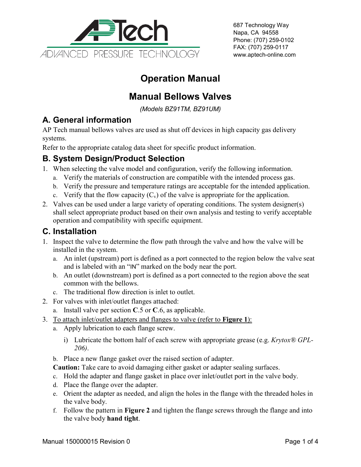

687 Technology Way Napa, CA 94558 Phone: (707) 259-0102 FAX: (707) 259-0117 www.aptech-online.com

# **Operation Manual**

## **Manual Bellows Valves**

*(Models BZ91TM, BZ91UM)*

#### **A. General information**

AP Tech manual bellows valves are used as shut off devices in high capacity gas delivery systems.

Refer to the appropriate catalog data sheet for specific product information.

### **B. System Design/Product Selection**

- 1. When selecting the valve model and configuration, verify the following information.
	- a. Verify the materials of construction are compatible with the intended process gas.
	- b. Verify the pressure and temperature ratings are acceptable for the intended application.
	- c. Verify that the flow capacity  $(C_v)$  of the valve is appropriate for the application.
- 2. Valves can be used under a large variety of operating conditions. The system designer(s) shall select appropriate product based on their own analysis and testing to verify acceptable operation and compatibility with specific equipment.

#### **C. Installation**

- 1. Inspect the valve to determine the flow path through the valve and how the valve will be installed in the system.
	- a. An inlet (upstream) port is defined as a port connected to the region below the valve seat and is labeled with an "IN" marked on the body near the port.
	- b. An outlet (downstream) port is defined as a port connected to the region above the seat common with the bellows.
	- c. The traditional flow direction is inlet to outlet.
- 2. For valves with inlet/outlet flanges attached:
	- a. Install valve per section **C**.5 or **C**.6, as applicable.
- 3. To attach inlet/outlet adapters and flanges to valve (refer to **Figure 1**):
	- a. Apply lubrication to each flange screw.
		- i) Lubricate the bottom half of each screw with appropriate grease (e.g. *Krytox® GPL-206)*.
	- b. Place a new flange gasket over the raised section of adapter.
	- **Caution:** Take care to avoid damaging either gasket or adapter sealing surfaces.
	- c. Hold the adapter and flange gasket in place over inlet/outlet port in the valve body.
	- d. Place the flange over the adapter.
	- e. Orient the adapter as needed, and align the holes in the flange with the threaded holes in the valve body.
	- f. Follow the pattern in **Figure 2** and tighten the flange screws through the flange and into the valve body **hand tight**.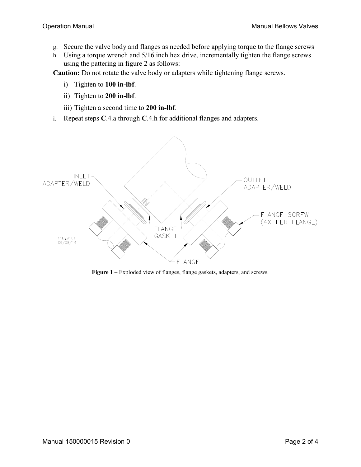- g. Secure the valve body and flanges as needed before applying torque to the flange screws
- h. Using a torque wrench and 5/16 inch hex drive, incrementally tighten the flange screws using the pattering in figure 2 as follows:

**Caution:** Do not rotate the valve body or adapters while tightening flange screws.

- i) Tighten to **100 in-lbf**.
- ii) Tighten to **200 in-lbf**.
- iii) Tighten a second time to **200 in-lbf**.
- i. Repeat steps **C**.4.a through **C**.4.h for additional flanges and adapters.



**Figure 1** – Exploded view of flanges, flange gaskets, adapters, and screws.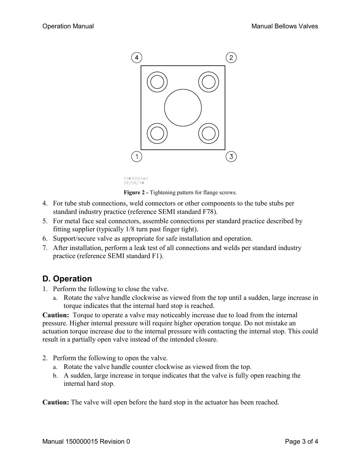

10430001-2 09/09/14

**Figure 2 -** Tightening pattern for flange screws.

- 4. For tube stub connections, weld connectors or other components to the tube stubs per standard industry practice (reference SEMI standard F78).
- 5. For metal face seal connectors, assemble connections per standard practice described by fitting supplier (typically 1/8 turn past finger tight).
- 6. Support/secure valve as appropriate for safe installation and operation.
- 7. After installation, perform a leak test of all connections and welds per standard industry practice (reference SEMI standard F1).

#### **D. Operation**

- 1. Perform the following to close the valve.
	- a. Rotate the valve handle clockwise as viewed from the top until a sudden, large increase in torque indicates that the internal hard stop is reached.

**Caution:** Torque to operate a valve may noticeably increase due to load from the internal pressure. Higher internal pressure will require higher operation torque. Do not mistake an actuation torque increase due to the internal pressure with contacting the internal stop. This could result in a partially open valve instead of the intended closure.

- 2. Perform the following to open the valve.
	- a. Rotate the valve handle counter clockwise as viewed from the top.
	- b. A sudden, large increase in torque indicates that the valve is fully open reaching the internal hard stop.

**Caution:** The valve will open before the hard stop in the actuator has been reached.